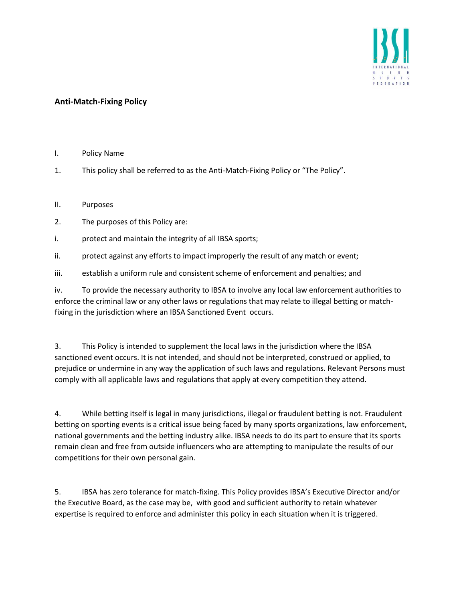

## **Anti-Match-Fixing Policy**

- I. Policy Name
- 1. This policy shall be referred to as the Anti-Match-Fixing Policy or "The Policy".
- II. Purposes
- 2. The purposes of this Policy are:
- i. protect and maintain the integrity of all IBSA sports;
- ii. protect against any efforts to impact improperly the result of any match or event;
- iii. establish a uniform rule and consistent scheme of enforcement and penalties; and

iv. To provide the necessary authority to IBSA to involve any local law enforcement authorities to enforce the criminal law or any other laws or regulations that may relate to illegal betting or matchfixing in the jurisdiction where an IBSA Sanctioned Event occurs.

3. This Policy is intended to supplement the local laws in the jurisdiction where the IBSA sanctioned event occurs. It is not intended, and should not be interpreted, construed or applied, to prejudice or undermine in any way the application of such laws and regulations. Relevant Persons must comply with all applicable laws and regulations that apply at every competition they attend.

4. While betting itself is legal in many jurisdictions, illegal or fraudulent betting is not. Fraudulent betting on sporting events is a critical issue being faced by many sports organizations, law enforcement, national governments and the betting industry alike. IBSA needs to do its part to ensure that its sports remain clean and free from outside influencers who are attempting to manipulate the results of our competitions for their own personal gain.

5. IBSA has zero tolerance for match-fixing. This Policy provides IBSA's Executive Director and/or the Executive Board, as the case may be, with good and sufficient authority to retain whatever expertise is required to enforce and administer this policy in each situation when it is triggered.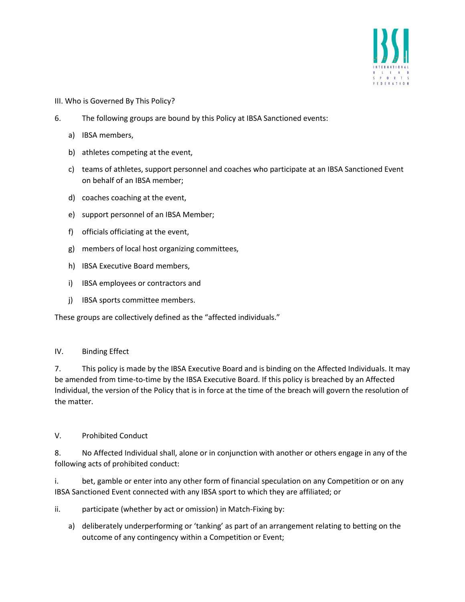

- III. Who is Governed By This Policy?
- 6. The following groups are bound by this Policy at IBSA Sanctioned events:
	- a) IBSA members,
	- b) athletes competing at the event,
	- c) teams of athletes, support personnel and coaches who participate at an IBSA Sanctioned Event on behalf of an IBSA member;
	- d) coaches coaching at the event,
	- e) support personnel of an IBSA Member;
	- f) officials officiating at the event,
	- g) members of local host organizing committees,
	- h) IBSA Executive Board members,
	- i) IBSA employees or contractors and
	- j) IBSA sports committee members.

These groups are collectively defined as the "affected individuals."

#### IV. Binding Effect

7. This policy is made by the IBSA Executive Board and is binding on the Affected Individuals. It may be amended from time-to-time by the IBSA Executive Board. If this policy is breached by an Affected Individual, the version of the Policy that is in force at the time of the breach will govern the resolution of the matter.

#### V. Prohibited Conduct

8. No Affected Individual shall, alone or in conjunction with another or others engage in any of the following acts of prohibited conduct:

i. bet, gamble or enter into any other form of financial speculation on any Competition or on any IBSA Sanctioned Event connected with any IBSA sport to which they are affiliated; or

ii. participate (whether by act or omission) in Match-Fixing by:

a) deliberately underperforming or 'tanking' as part of an arrangement relating to betting on the outcome of any contingency within a Competition or Event;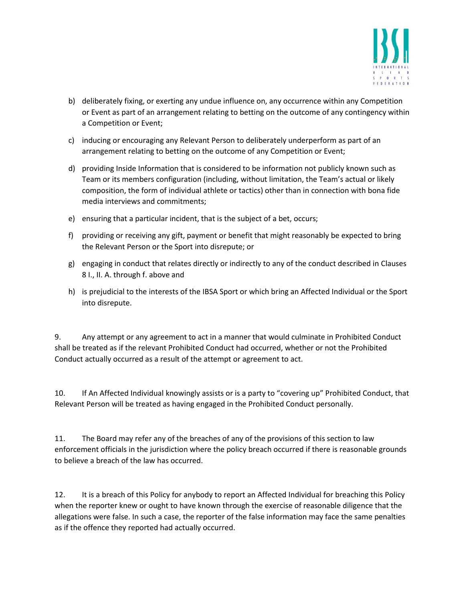

- b) deliberately fixing, or exerting any undue influence on, any occurrence within any Competition or Event as part of an arrangement relating to betting on the outcome of any contingency within a Competition or Event;
- c) inducing or encouraging any Relevant Person to deliberately underperform as part of an arrangement relating to betting on the outcome of any Competition or Event;
- d) providing Inside Information that is considered to be information not publicly known such as Team or its members configuration (including, without limitation, the Team's actual or likely composition, the form of individual athlete or tactics) other than in connection with bona fide media interviews and commitments;
- e) ensuring that a particular incident, that is the subject of a bet, occurs;
- f) providing or receiving any gift, payment or benefit that might reasonably be expected to bring the Relevant Person or the Sport into disrepute; or
- g) engaging in conduct that relates directly or indirectly to any of the conduct described in Clauses 8 I., II. A. through f. above and
- h) is prejudicial to the interests of the IBSA Sport or which bring an Affected Individual or the Sport into disrepute.

9. Any attempt or any agreement to act in a manner that would culminate in Prohibited Conduct shall be treated as if the relevant Prohibited Conduct had occurred, whether or not the Prohibited Conduct actually occurred as a result of the attempt or agreement to act.

10. If An Affected Individual knowingly assists or is a party to "covering up" Prohibited Conduct, that Relevant Person will be treated as having engaged in the Prohibited Conduct personally.

11. The Board may refer any of the breaches of any of the provisions of this section to law enforcement officials in the jurisdiction where the policy breach occurred if there is reasonable grounds to believe a breach of the law has occurred.

12. It is a breach of this Policy for anybody to report an Affected Individual for breaching this Policy when the reporter knew or ought to have known through the exercise of reasonable diligence that the allegations were false. In such a case, the reporter of the false information may face the same penalties as if the offence they reported had actually occurred.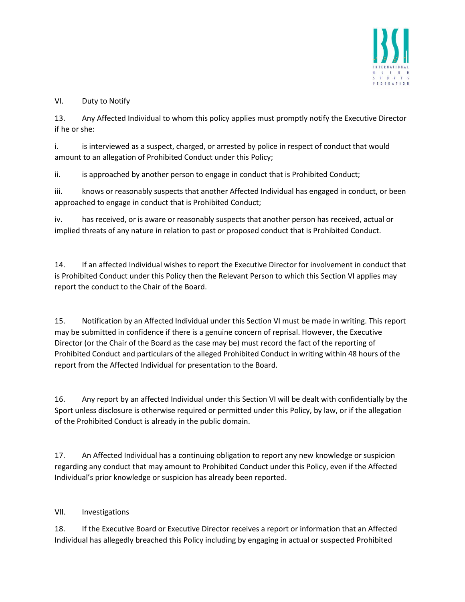

## VI. Duty to Notify

13. Any Affected Individual to whom this policy applies must promptly notify the Executive Director if he or she:

i. is interviewed as a suspect, charged, or arrested by police in respect of conduct that would amount to an allegation of Prohibited Conduct under this Policy;

ii. is approached by another person to engage in conduct that is Prohibited Conduct;

iii. knows or reasonably suspects that another Affected Individual has engaged in conduct, or been approached to engage in conduct that is Prohibited Conduct;

iv. has received, or is aware or reasonably suspects that another person has received, actual or implied threats of any nature in relation to past or proposed conduct that is Prohibited Conduct.

14. If an affected Individual wishes to report the Executive Director for involvement in conduct that is Prohibited Conduct under this Policy then the Relevant Person to which this Section VI applies may report the conduct to the Chair of the Board.

15. Notification by an Affected Individual under this Section VI must be made in writing. This report may be submitted in confidence if there is a genuine concern of reprisal. However, the Executive Director (or the Chair of the Board as the case may be) must record the fact of the reporting of Prohibited Conduct and particulars of the alleged Prohibited Conduct in writing within 48 hours of the report from the Affected Individual for presentation to the Board.

16. Any report by an affected Individual under this Section VI will be dealt with confidentially by the Sport unless disclosure is otherwise required or permitted under this Policy, by law, or if the allegation of the Prohibited Conduct is already in the public domain.

17. An Affected Individual has a continuing obligation to report any new knowledge or suspicion regarding any conduct that may amount to Prohibited Conduct under this Policy, even if the Affected Individual's prior knowledge or suspicion has already been reported.

# VII. Investigations

18. If the Executive Board or Executive Director receives a report or information that an Affected Individual has allegedly breached this Policy including by engaging in actual or suspected Prohibited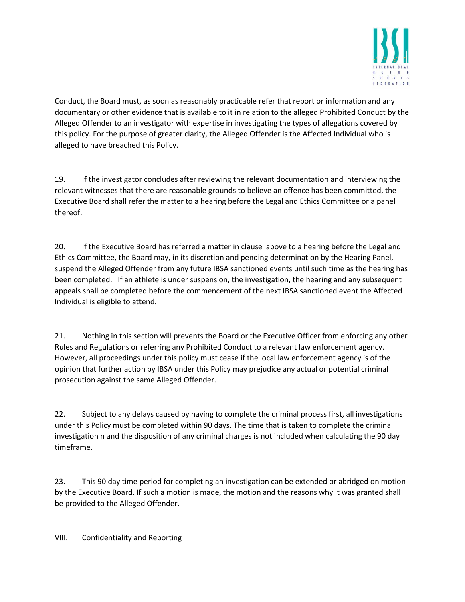

Conduct, the Board must, as soon as reasonably practicable refer that report or information and any documentary or other evidence that is available to it in relation to the alleged Prohibited Conduct by the Alleged Offender to an investigator with expertise in investigating the types of allegations covered by this policy. For the purpose of greater clarity, the Alleged Offender is the Affected Individual who is alleged to have breached this Policy.

19. If the investigator concludes after reviewing the relevant documentation and interviewing the relevant witnesses that there are reasonable grounds to believe an offence has been committed, the Executive Board shall refer the matter to a hearing before the Legal and Ethics Committee or a panel thereof.

20. If the Executive Board has referred a matter in clause above to a hearing before the Legal and Ethics Committee, the Board may, in its discretion and pending determination by the Hearing Panel, suspend the Alleged Offender from any future IBSA sanctioned events until such time as the hearing has been completed. If an athlete is under suspension, the investigation, the hearing and any subsequent appeals shall be completed before the commencement of the next IBSA sanctioned event the Affected Individual is eligible to attend.

21. Nothing in this section will prevents the Board or the Executive Officer from enforcing any other Rules and Regulations or referring any Prohibited Conduct to a relevant law enforcement agency. However, all proceedings under this policy must cease if the local law enforcement agency is of the opinion that further action by IBSA under this Policy may prejudice any actual or potential criminal prosecution against the same Alleged Offender.

22. Subject to any delays caused by having to complete the criminal process first, all investigations under this Policy must be completed within 90 days. The time that is taken to complete the criminal investigation n and the disposition of any criminal charges is not included when calculating the 90 day timeframe.

23. This 90 day time period for completing an investigation can be extended or abridged on motion by the Executive Board. If such a motion is made, the motion and the reasons why it was granted shall be provided to the Alleged Offender.

VIII. Confidentiality and Reporting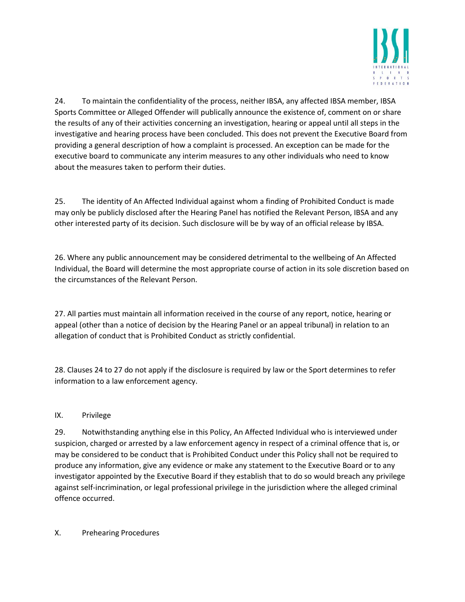

24. To maintain the confidentiality of the process, neither IBSA, any affected IBSA member, IBSA Sports Committee or Alleged Offender will publically announce the existence of, comment on or share the results of any of their activities concerning an investigation, hearing or appeal until all steps in the investigative and hearing process have been concluded. This does not prevent the Executive Board from providing a general description of how a complaint is processed. An exception can be made for the executive board to communicate any interim measures to any other individuals who need to know about the measures taken to perform their duties.

25. The identity of An Affected Individual against whom a finding of Prohibited Conduct is made may only be publicly disclosed after the Hearing Panel has notified the Relevant Person, IBSA and any other interested party of its decision. Such disclosure will be by way of an official release by IBSA.

26. Where any public announcement may be considered detrimental to the wellbeing of An Affected Individual, the Board will determine the most appropriate course of action in its sole discretion based on the circumstances of the Relevant Person.

27. All parties must maintain all information received in the course of any report, notice, hearing or appeal (other than a notice of decision by the Hearing Panel or an appeal tribunal) in relation to an allegation of conduct that is Prohibited Conduct as strictly confidential.

28. Clauses 24 to 27 do not apply if the disclosure is required by law or the Sport determines to refer information to a law enforcement agency.

## IX. Privilege

29. Notwithstanding anything else in this Policy, An Affected Individual who is interviewed under suspicion, charged or arrested by a law enforcement agency in respect of a criminal offence that is, or may be considered to be conduct that is Prohibited Conduct under this Policy shall not be required to produce any information, give any evidence or make any statement to the Executive Board or to any investigator appointed by the Executive Board if they establish that to do so would breach any privilege against self-incrimination, or legal professional privilege in the jurisdiction where the alleged criminal offence occurred.

#### X. Prehearing Procedures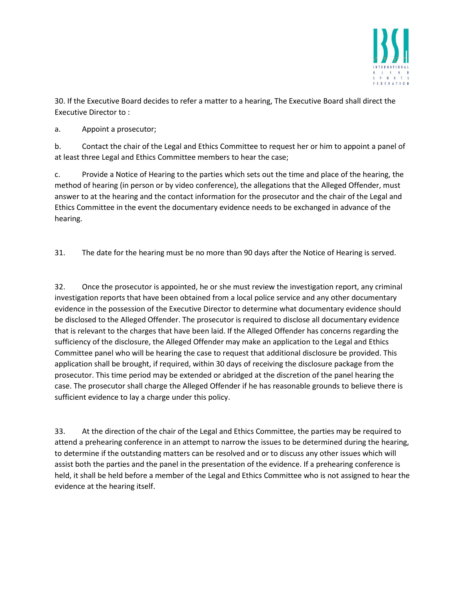

30. If the Executive Board decides to refer a matter to a hearing, The Executive Board shall direct the Executive Director to :

a. Appoint a prosecutor;

b. Contact the chair of the Legal and Ethics Committee to request her or him to appoint a panel of at least three Legal and Ethics Committee members to hear the case;

c. Provide a Notice of Hearing to the parties which sets out the time and place of the hearing, the method of hearing (in person or by video conference), the allegations that the Alleged Offender, must answer to at the hearing and the contact information for the prosecutor and the chair of the Legal and Ethics Committee in the event the documentary evidence needs to be exchanged in advance of the hearing.

31. The date for the hearing must be no more than 90 days after the Notice of Hearing is served.

32. Once the prosecutor is appointed, he or she must review the investigation report, any criminal investigation reports that have been obtained from a local police service and any other documentary evidence in the possession of the Executive Director to determine what documentary evidence should be disclosed to the Alleged Offender. The prosecutor is required to disclose all documentary evidence that is relevant to the charges that have been laid. If the Alleged Offender has concerns regarding the sufficiency of the disclosure, the Alleged Offender may make an application to the Legal and Ethics Committee panel who will be hearing the case to request that additional disclosure be provided. This application shall be brought, if required, within 30 days of receiving the disclosure package from the prosecutor. This time period may be extended or abridged at the discretion of the panel hearing the case. The prosecutor shall charge the Alleged Offender if he has reasonable grounds to believe there is sufficient evidence to lay a charge under this policy.

33. At the direction of the chair of the Legal and Ethics Committee, the parties may be required to attend a prehearing conference in an attempt to narrow the issues to be determined during the hearing, to determine if the outstanding matters can be resolved and or to discuss any other issues which will assist both the parties and the panel in the presentation of the evidence. If a prehearing conference is held, it shall be held before a member of the Legal and Ethics Committee who is not assigned to hear the evidence at the hearing itself.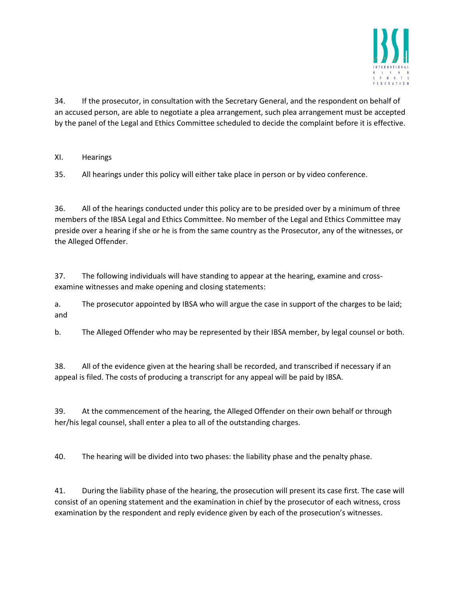

34. If the prosecutor, in consultation with the Secretary General, and the respondent on behalf of an accused person, are able to negotiate a plea arrangement, such plea arrangement must be accepted by the panel of the Legal and Ethics Committee scheduled to decide the complaint before it is effective.

XI. Hearings

35. All hearings under this policy will either take place in person or by video conference.

36. All of the hearings conducted under this policy are to be presided over by a minimum of three members of the IBSA Legal and Ethics Committee. No member of the Legal and Ethics Committee may preside over a hearing if she or he is from the same country as the Prosecutor, any of the witnesses, or the Alleged Offender.

37. The following individuals will have standing to appear at the hearing, examine and crossexamine witnesses and make opening and closing statements:

a. The prosecutor appointed by IBSA who will argue the case in support of the charges to be laid; and

b. The Alleged Offender who may be represented by their IBSA member, by legal counsel or both.

38. All of the evidence given at the hearing shall be recorded, and transcribed if necessary if an appeal is filed. The costs of producing a transcript for any appeal will be paid by IBSA.

39. At the commencement of the hearing, the Alleged Offender on their own behalf or through her/his legal counsel, shall enter a plea to all of the outstanding charges.

40. The hearing will be divided into two phases: the liability phase and the penalty phase.

41. During the liability phase of the hearing, the prosecution will present its case first. The case will consist of an opening statement and the examination in chief by the prosecutor of each witness, cross examination by the respondent and reply evidence given by each of the prosecution's witnesses.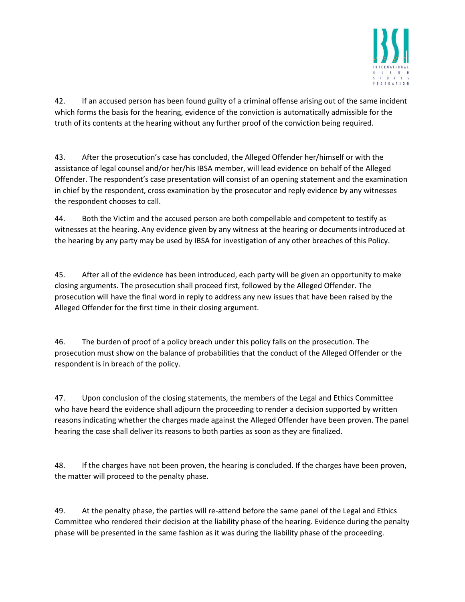

42. If an accused person has been found guilty of a criminal offense arising out of the same incident which forms the basis for the hearing, evidence of the conviction is automatically admissible for the truth of its contents at the hearing without any further proof of the conviction being required.

43. After the prosecution's case has concluded, the Alleged Offender her/himself or with the assistance of legal counsel and/or her/his IBSA member, will lead evidence on behalf of the Alleged Offender. The respondent's case presentation will consist of an opening statement and the examination in chief by the respondent, cross examination by the prosecutor and reply evidence by any witnesses the respondent chooses to call.

44. Both the Victim and the accused person are both compellable and competent to testify as witnesses at the hearing. Any evidence given by any witness at the hearing or documents introduced at the hearing by any party may be used by IBSA for investigation of any other breaches of this Policy.

45. After all of the evidence has been introduced, each party will be given an opportunity to make closing arguments. The prosecution shall proceed first, followed by the Alleged Offender. The prosecution will have the final word in reply to address any new issues that have been raised by the Alleged Offender for the first time in their closing argument.

46. The burden of proof of a policy breach under this policy falls on the prosecution. The prosecution must show on the balance of probabilities that the conduct of the Alleged Offender or the respondent is in breach of the policy.

47. Upon conclusion of the closing statements, the members of the Legal and Ethics Committee who have heard the evidence shall adjourn the proceeding to render a decision supported by written reasons indicating whether the charges made against the Alleged Offender have been proven. The panel hearing the case shall deliver its reasons to both parties as soon as they are finalized.

48. If the charges have not been proven, the hearing is concluded. If the charges have been proven, the matter will proceed to the penalty phase.

49. At the penalty phase, the parties will re-attend before the same panel of the Legal and Ethics Committee who rendered their decision at the liability phase of the hearing. Evidence during the penalty phase will be presented in the same fashion as it was during the liability phase of the proceeding.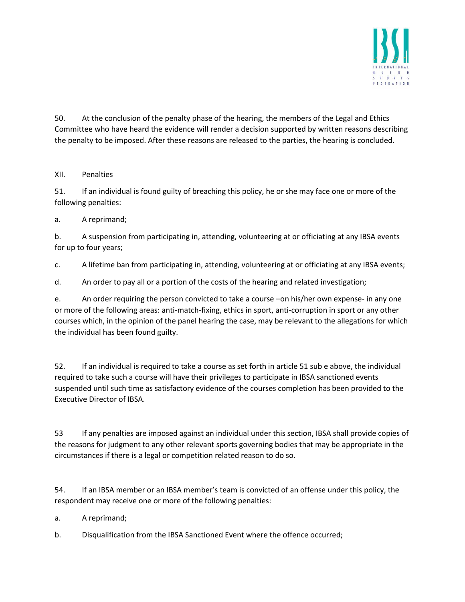

50. At the conclusion of the penalty phase of the hearing, the members of the Legal and Ethics Committee who have heard the evidence will render a decision supported by written reasons describing the penalty to be imposed. After these reasons are released to the parties, the hearing is concluded.

XII. Penalties

51. If an individual is found guilty of breaching this policy, he or she may face one or more of the following penalties:

a. A reprimand;

b. A suspension from participating in, attending, volunteering at or officiating at any IBSA events for up to four years;

c. A lifetime ban from participating in, attending, volunteering at or officiating at any IBSA events;

d. An order to pay all or a portion of the costs of the hearing and related investigation;

e. An order requiring the person convicted to take a course –on his/her own expense- in any one or more of the following areas: anti-match-fixing, ethics in sport, anti-corruption in sport or any other courses which, in the opinion of the panel hearing the case, may be relevant to the allegations for which the individual has been found guilty.

52. If an individual is required to take a course as set forth in article 51 sub e above, the individual required to take such a course will have their privileges to participate in IBSA sanctioned events suspended until such time as satisfactory evidence of the courses completion has been provided to the Executive Director of IBSA.

53 If any penalties are imposed against an individual under this section, IBSA shall provide copies of the reasons for judgment to any other relevant sports governing bodies that may be appropriate in the circumstances if there is a legal or competition related reason to do so.

54. If an IBSA member or an IBSA member's team is convicted of an offense under this policy, the respondent may receive one or more of the following penalties:

a. A reprimand;

b. Disqualification from the IBSA Sanctioned Event where the offence occurred;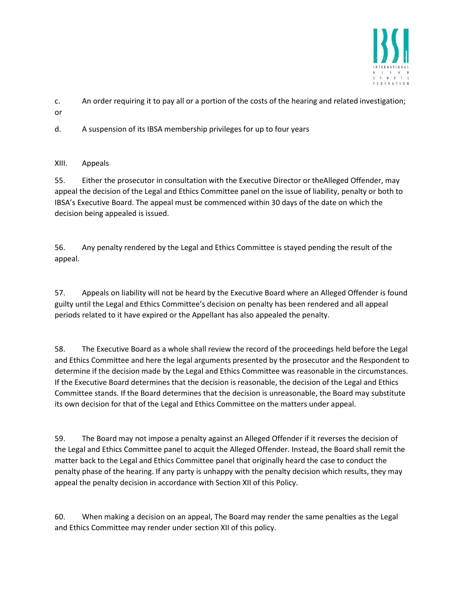

c. An order requiring it to pay all or a portion of the costs of the hearing and related investigation; or

d. A suspension of its IBSA membership privileges for up to four years

## XIII. Appeals

55. Either the prosecutor in consultation with the Executive Director or theAlleged Offender, may appeal the decision of the Legal and Ethics Committee panel on the issue of liability, penalty or both to IBSA's Executive Board. The appeal must be commenced within 30 days of the date on which the decision being appealed is issued.

56. Any penalty rendered by the Legal and Ethics Committee is stayed pending the result of the appeal.

57. Appeals on liability will not be heard by the Executive Board where an Alleged Offender is found guilty until the Legal and Ethics Committee's decision on penalty has been rendered and all appeal periods related to it have expired or the Appellant has also appealed the penalty.

58. The Executive Board as a whole shall review the record of the proceedings held before the Legal and Ethics Committee and here the legal arguments presented by the prosecutor and the Respondent to determine if the decision made by the Legal and Ethics Committee was reasonable in the circumstances. If the Executive Board determines that the decision is reasonable, the decision of the Legal and Ethics Committee stands. If the Board determines that the decision is unreasonable, the Board may substitute its own decision for that of the Legal and Ethics Committee on the matters under appeal.

59. The Board may not impose a penalty against an Alleged Offender if it reverses the decision of the Legal and Ethics Committee panel to acquit the Alleged Offender. Instead, the Board shall remit the matter back to the Legal and Ethics Committee panel that originally heard the case to conduct the penalty phase of the hearing. If any party is unhappy with the penalty decision which results, they may appeal the penalty decision in accordance with Section XII of this Policy.

60. When making a decision on an appeal, The Board may render the same penalties as the Legal and Ethics Committee may render under section XII of this policy.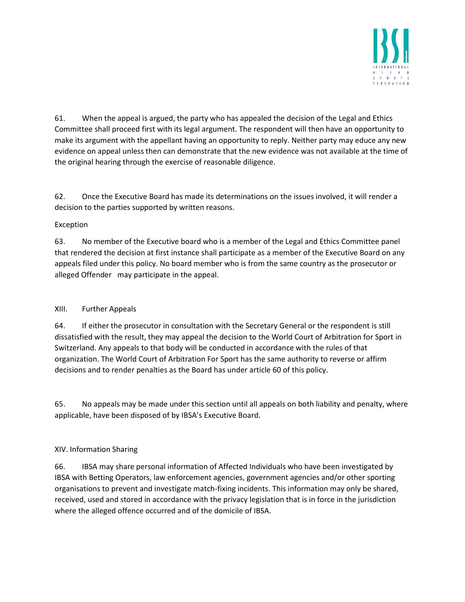

61. When the appeal is argued, the party who has appealed the decision of the Legal and Ethics Committee shall proceed first with its legal argument. The respondent will then have an opportunity to make its argument with the appellant having an opportunity to reply. Neither party may educe any new evidence on appeal unless then can demonstrate that the new evidence was not available at the time of the original hearing through the exercise of reasonable diligence.

62. Once the Executive Board has made its determinations on the issues involved, it will render a decision to the parties supported by written reasons.

## Exception

63. No member of the Executive board who is a member of the Legal and Ethics Committee panel that rendered the decision at first instance shall participate as a member of the Executive Board on any appeals filed under this policy. No board member who is from the same country as the prosecutor or alleged Offender may participate in the appeal.

## XIII. Further Appeals

64. If either the prosecutor in consultation with the Secretary General or the respondent is still dissatisfied with the result, they may appeal the decision to the World Court of Arbitration for Sport in Switzerland. Any appeals to that body will be conducted in accordance with the rules of that organization. The World Court of Arbitration For Sport has the same authority to reverse or affirm decisions and to render penalties as the Board has under article 60 of this policy.

65. No appeals may be made under this section until all appeals on both liability and penalty, where applicable, have been disposed of by IBSA's Executive Board.

# XIV. Information Sharing

66. IBSA may share personal information of Affected Individuals who have been investigated by IBSA with Betting Operators, law enforcement agencies, government agencies and/or other sporting organisations to prevent and investigate match-fixing incidents. This information may only be shared, received, used and stored in accordance with the privacy legislation that is in force in the jurisdiction where the alleged offence occurred and of the domicile of IBSA.